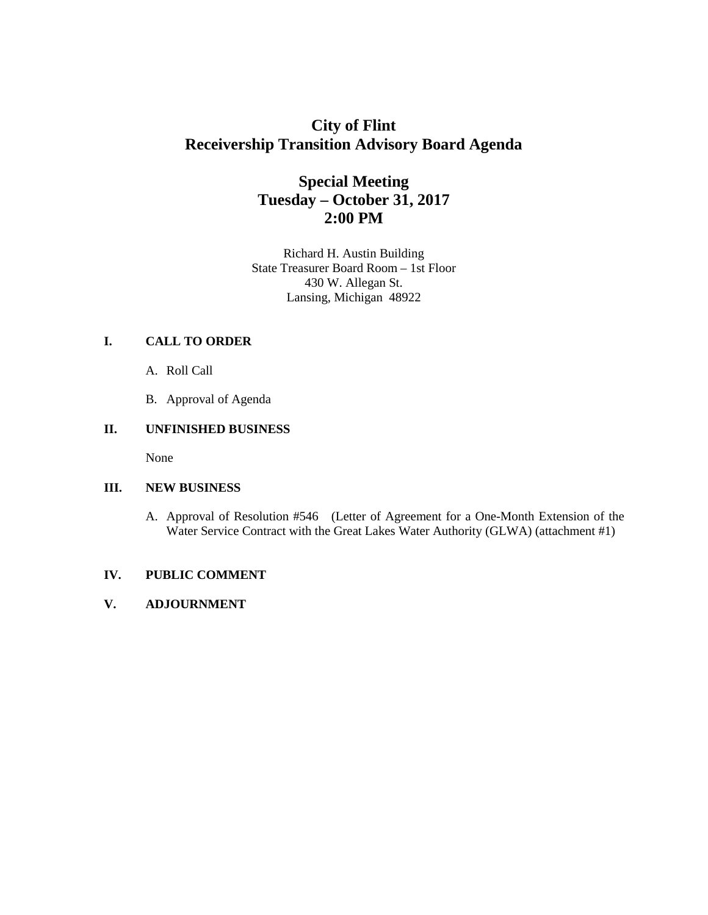# **City of Flint Receivership Transition Advisory Board Agenda**

# **Special Meeting Tuesday – October 31, 2017 2:00 PM**

Richard H. Austin Building State Treasurer Board Room – 1st Floor 430 W. Allegan St. Lansing, Michigan 48922

## **I. CALL TO ORDER**

- A. Roll Call
- B. Approval of Agenda

### **II. UNFINISHED BUSINESS**

None

#### **III. NEW BUSINESS**

A. Approval of Resolution #546 (Letter of Agreement for a One-Month Extension of the Water Service Contract with the Great Lakes Water Authority (GLWA) (attachment #1)

#### **IV. PUBLIC COMMENT**

## **V. ADJOURNMENT**